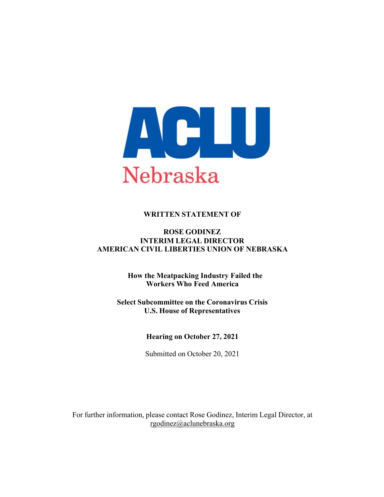

## **WRITTEN STATEMENT OF**

#### **ROSE GODINEZ INTERIM LEGAL DIRECTOR AMERICAN CIVIL LIBERTIES UNION OF NEBRASKA**

**How the Meatpacking Industry Failed the Workers Who Feed America**

**Select Subcommittee on the Coronavirus Crisis U.S. House of Representatives**

**Hearing on October 27, 2021**

Submitted on October 20, 2021

For further information, please contact Rose Godinez, Interim Legal Director, at rgodinez@aclunebraska.org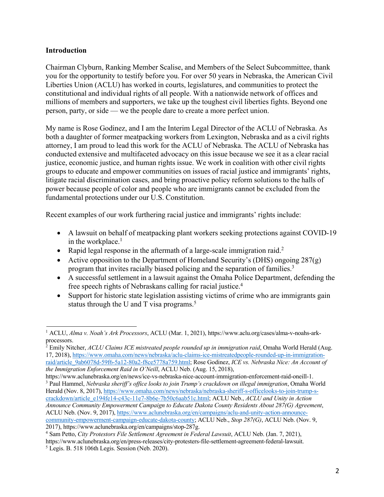#### **Introduction**

Chairman Clyburn, Ranking Member Scalise, and Members of the Select Subcommittee, thank you for the opportunity to testify before you. For over 50 years in Nebraska, the American Civil Liberties Union (ACLU) has worked in courts, legislatures, and communities to protect the constitutional and individual rights of all people. With a nationwide network of offices and millions of members and supporters, we take up the toughest civil liberties fights. Beyond one person, party, or side — we the people dare to create a more perfect union.

My name is Rose Godinez, and I am the Interim Legal Director of the ACLU of Nebraska. As both a daughter of former meatpacking workers from Lexington, Nebraska and as a civil rights attorney, I am proud to lead this work for the ACLU of Nebraska. The ACLU of Nebraska has conducted extensive and multifaceted advocacy on this issue because we see it as a clear racial justice, economic justice, and human rights issue. We work in coalition with other civil rights groups to educate and empower communities on issues of racial justice and immigrants' rights, litigate racial discrimination cases, and bring proactive policy reform solutions to the halls of power because people of color and people who are immigrants cannot be excluded from the fundamental protections under our U.S. Constitution.

Recent examples of our work furthering racial justice and immigrants' rights include:

- A lawsuit on behalf of meatpacking plant workers seeking protections against COVID-19 in the workplace. $<sup>1</sup>$ </sup>
- Rapid legal response in the aftermath of a large-scale immigration raid.<sup>2</sup>
- Active opposition to the Department of Homeland Security's (DHS) ongoing  $287(g)$ program that invites racially biased policing and the separation of families.<sup>3</sup>
- A successful settlement in a lawsuit against the Omaha Police Department, defending the free speech rights of Nebraskans calling for racial justice.4
- Support for historic state legislation assisting victims of crime who are immigrants gain status through the U and T visa programs.<sup>5</sup>

<sup>1</sup> ACLU, *Alma v. Noah's Ark Processors*, ACLU (Mar. 1, 2021), https://www.aclu.org/cases/alma-v-noahs-arkprocessors.

<sup>&</sup>lt;sup>2</sup> Emily Nitcher, *ACLU Claims ICE mistreated people rounded up in immigration raid*, Omaha World Herald (Aug. 17, 2018), https://www.omaha.com/news/nebraska/aclu-claims-ice-mistreatedpeople-rounded-up-in-immigrationraid/article\_9ab6078d-59f6-5a12-80a2-f8ce5778a759.html; Rose Godinez, *ICE vs. Nebraska Nice: An Account of the Immigration Enforcement Raid in O'Neill*, ACLU Neb. (Aug. 15, 2018),

https://www.aclunebraska.org/en/news/ice-vs-nebraska-nice-account-immigration-enforcement-raid-oneill-1.

<sup>3</sup> Paul Hammel, *Nebraska sheriff's office looks to join Trump's crackdown on illegal immigration*, Omaha World Herald (Nov. 8, 2017), https://www.omaha.com/news/nebraska/nebraska-sheriff-s-officelooks-to-join-trump-s-

crackdown/article\_e194fe14-c43c-11e7-8b6e-7b50c6aab51c.html; ACLU Neb., *ACLU and Unity in Action Announce Community Empowerment Campaign to Educate Dakota County Residents About 287(G) Agreement*, ACLU Neb. (Nov. 9, 2017), https://www.aclunebraska.org/en/campaigns/aclu-and-unity-action-announcecommunity-empowerment-campaign-educate-dakota-county; ACLU Neb., *Stop 287(G)*, ACLU Neb. (Nov. 9, 2017), https://www.aclunebraska.org/en/campaigns/stop-287g.

<sup>4</sup> Sam Petto, *City Protestors File Settlement Agreement in Federal Lawsuit*, ACLU Neb. (Jan. 7, 2021), https://www.aclunebraska.org/en/press-releases/city-protesters-file-settlement-agreement-federal-lawsuit.

 $<sup>5</sup>$  Legis. B. 518 106th Legis. Session (Neb. 2020).</sup>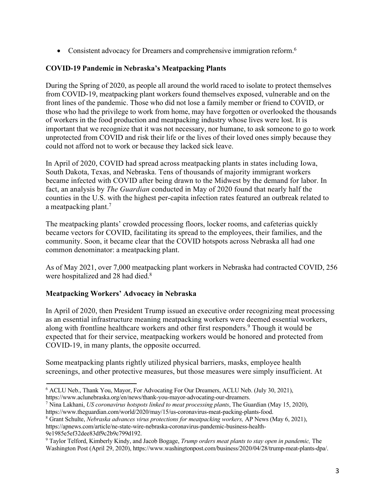• Consistent advocacy for Dreamers and comprehensive immigration reform.<sup>6</sup>

### **COVID-19 Pandemic in Nebraska's Meatpacking Plants**

During the Spring of 2020, as people all around the world raced to isolate to protect themselves from COVID-19, meatpacking plant workers found themselves exposed, vulnerable and on the front lines of the pandemic. Those who did not lose a family member or friend to COVID, or those who had the privilege to work from home, may have forgotten or overlooked the thousands of workers in the food production and meatpacking industry whose lives were lost. It is important that we recognize that it was not necessary, nor humane, to ask someone to go to work unprotected from COVID and risk their life or the lives of their loved ones simply because they could not afford not to work or because they lacked sick leave.

In April of 2020, COVID had spread across meatpacking plants in states including Iowa, South Dakota, Texas, and Nebraska. Tens of thousands of majority immigrant workers became infected with COVID after being drawn to the Midwest by the demand for labor. In fact, an analysis by *The Guardian* conducted in May of 2020 found that nearly half the counties in the U.S. with the highest per-capita infection rates featured an outbreak related to a meatpacking plant.<sup>7</sup>

The meatpacking plants' crowded processing floors, locker rooms, and cafeterias quickly became vectors for COVID, facilitating its spread to the employees, their families, and the community. Soon, it became clear that the COVID hotspots across Nebraska all had one common denominator: a meatpacking plant.

As of May 2021, over 7,000 meatpacking plant workers in Nebraska had contracted COVID, 256 were hospitalized and 28 had died.<sup>8</sup>

# **Meatpacking Workers' Advocacy in Nebraska**

In April of 2020, then President Trump issued an executive order recognizing meat processing as an essential infrastructure meaning meatpacking workers were deemed essential workers, along with frontline healthcare workers and other first responders.<sup>9</sup> Though it would be expected that for their service, meatpacking workers would be honored and protected from COVID-19, in many plants, the opposite occurred.

Some meatpacking plants rightly utilized physical barriers, masks, employee health screenings, and other protective measures, but those measures were simply insufficient. At

<sup>6</sup> ACLU Neb., Thank You, Mayor, For Advocating For Our Dreamers, ACLU Neb. (July 30, 2021), https://www.aclunebraska.org/en/news/thank-you-mayor-advocating-our-dreamers.

<sup>7</sup> Nina Lakhani, *US coronavirus hotspots linked to meat processing plants*, The Guardian (May 15, 2020), https://www.theguardian.com/world/2020/may/15/us-coronavirus-meat-packing-plants-food.

<sup>8</sup> Grant Schulte, *Nebraska advances virus protections for meatpacking workers,* AP News (May 6, 2021), https://apnews.com/article/ne-state-wire-nebraska-coronavirus-pandemic-business-health-9e1985e5ef32dee83df9c2b9c799d192.

<sup>9</sup> Taylor Telford, Kimberly Kindy, and Jacob Bogage, *Trump orders meat plants to stay open in pandemic,* The Washington Post (April 29, 2020), https://www.washingtonpost.com/business/2020/04/28/trump-meat-plants-dpa/.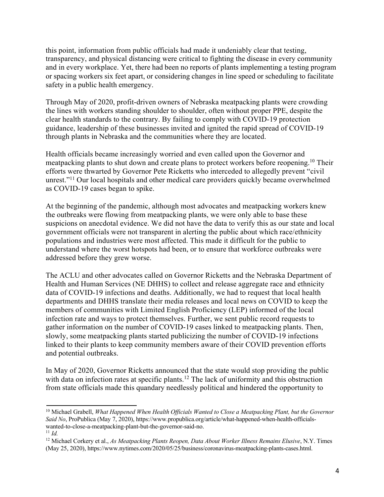this point, information from public officials had made it undeniably clear that testing, transparency, and physical distancing were critical to fighting the disease in every community and in every workplace. Yet, there had been no reports of plants implementing a testing program or spacing workers six feet apart, or considering changes in line speed or scheduling to facilitate safety in a public health emergency.

Through May of 2020, profit-driven owners of Nebraska meatpacking plants were crowding the lines with workers standing shoulder to shoulder, often without proper PPE, despite the clear health standards to the contrary. By failing to comply with COVID-19 protection guidance, leadership of these businesses invited and ignited the rapid spread of COVID-19 through plants in Nebraska and the communities where they are located.

Health officials became increasingly worried and even called upon the Governor and meatpacking plants to shut down and create plans to protect workers before reopening.<sup>10</sup> Their efforts were thwarted by Governor Pete Ricketts who interceded to allegedly prevent "civil unrest."<sup>11</sup> Our local hospitals and other medical care providers quickly became overwhelmed as COVID-19 cases began to spike.

At the beginning of the pandemic, although most advocates and meatpacking workers knew the outbreaks were flowing from meatpacking plants, we were only able to base these suspicions on anecdotal evidence. We did not have the data to verify this as our state and local government officials were not transparent in alerting the public about which race/ethnicity populations and industries were most affected. This made it difficult for the public to understand where the worst hotspots had been, or to ensure that workforce outbreaks were addressed before they grew worse.

The ACLU and other advocates called on Governor Ricketts and the Nebraska Department of Health and Human Services (NE DHHS) to collect and release aggregate race and ethnicity data of COVID-19 infections and deaths. Additionally, we had to request that local health departments and DHHS translate their media releases and local news on COVID to keep the members of communities with Limited English Proficiency (LEP) informed of the local infection rate and ways to protect themselves. Further, we sent public record requests to gather information on the number of COVID-19 cases linked to meatpacking plants. Then, slowly, some meatpacking plants started publicizing the number of COVID-19 infections linked to their plants to keep community members aware of their COVID prevention efforts and potential outbreaks.

In May of 2020, Governor Ricketts announced that the state would stop providing the public with data on infection rates at specific plants.<sup>12</sup> The lack of uniformity and this obstruction from state officials made this quandary needlessly political and hindered the opportunity to

<sup>10</sup> Michael Grabell, *What Happened When Health Officials Wanted to Close a Meatpacking Plant, but the Governor Said No*, ProPublica (May 7, 2020), https://www.propublica.org/article/what-happened-when-health-officialswanted-to-close-a-meatpacking-plant-but-the-governor-said-no.  $11$  *Id.* 

<sup>12</sup> Michael Corkery et al., *As Meatpacking Plants Reopen, Data About Worker Illness Remains Elusive*, N.Y. Times (May 25, 2020), https://www.nytimes.com/2020/05/25/business/coronavirus-meatpacking-plants-cases.html.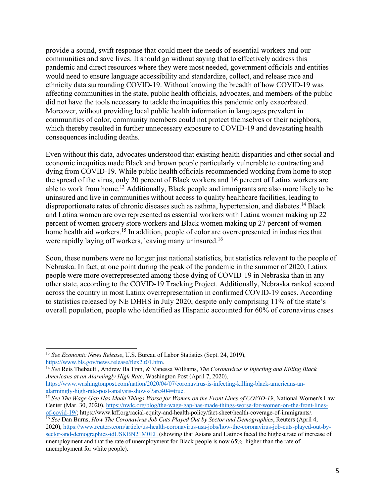provide a sound, swift response that could meet the needs of essential workers and our communities and save lives. It should go without saying that to effectively address this pandemic and direct resources where they were most needed, government officials and entities would need to ensure language accessibility and standardize, collect, and release race and ethnicity data surrounding COVID-19. Without knowing the breadth of how COVID-19 was affecting communities in the state, public health officials, advocates, and members of the public did not have the tools necessary to tackle the inequities this pandemic only exacerbated. Moreover, without providing local public health information in languages prevalent in communities of color, community members could not protect themselves or their neighbors, which thereby resulted in further unnecessary exposure to COVID-19 and devastating health consequences including deaths.

Even without this data, advocates understood that existing health disparities and other social and economic inequities made Black and brown people particularly vulnerable to contracting and dying from COVID-19. While public health officials recommended working from home to stop the spread of the virus, only 20 percent of Black workers and 16 percent of Latinx workers are able to work from home.13 Additionally, Black people and immigrants are also more likely to be uninsured and live in communities without access to quality healthcare facilities, leading to disproportionate rates of chronic diseases such as asthma, hypertension, and diabetes.<sup>14</sup> Black and Latina women are overrepresented as essential workers with Latina women making up 22 percent of women grocery store workers and Black women making up 27 percent of women home health aid workers.<sup>15</sup> In addition, people of color are overrepresented in industries that were rapidly laying off workers, leaving many uninsured.<sup>16</sup>

Soon, these numbers were no longer just national statistics, but statistics relevant to the people of Nebraska. In fact, at one point during the peak of the pandemic in the summer of 2020, Latinx people were more overrepresented among those dying of COVID-19 in Nebraska than in any other state, according to the COVID-19 Tracking Project. Additionally, Nebraska ranked second across the country in most Latinx overrepresentation in confirmed COVID-19 cases. According to statistics released by NE DHHS in July 2020, despite only comprising 11% of the state's overall population, people who identified as Hispanic accounted for 60% of coronavirus cases

<sup>14</sup> *See* Reis Thebault , Andrew Ba Tran, & Vanessa Williams, *The Coronavirus Is Infecting and Killing Black Americans at an Alarmingly High Rate*, Washington Post (April 7, 2020), https://www.washingtonpost.com/nation/2020/04/07/coronavirus-is-infecting-killing-black-americans-analarmingly-high-rate-post-analysis-shows/?arc404=true.

<sup>13</sup> *See Economic News Release*, U.S. Bureau of Labor Statistics (Sept. 24, 2019), https://www.bls.gov/news.release/flex2.t01.htm.

<sup>15</sup> *See The Wage Gap Has Made Things Worse for Women on the Front Lines of COVID-19*, National Women's Law Center (Mar. 30, 2020), https://nwlc.org/blog/the-wage-gap-has-made-things-worse-for-women-on-the-front-linesof-covid-19/; https://www.kff.org/racial-equity-and-health-policy/fact-sheet/health-coverage-of-immigrants/.

<sup>16</sup> *See* Dan Burns, *How The Coronavirus Job Cuts Played Out by Sector and Demographics*, Reuters (April 4, 2020), https://www.reuters.com/article/us-health-coronavirus-usa-jobs/how-the-coronavirus-job-cuts-played-out-bysector-and-demographics-idUSKBN21M0EL (showing that Asians and Latinos faced the highest rate of increase of unemployment and that the rate of unemployment for Black people is now 65% higher than the rate of unemployment for white people).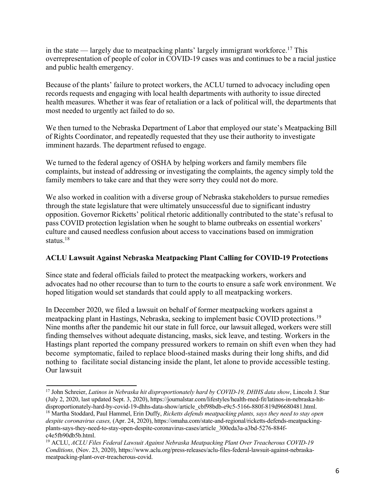in the state — largely due to meatpacking plants' largely immigrant workforce.<sup>17</sup> This overrepresentation of people of color in COVID-19 cases was and continues to be a racial justice and public health emergency.

Because of the plants' failure to protect workers, the ACLU turned to advocacy including open records requests and engaging with local health departments with authority to issue directed health measures. Whether it was fear of retaliation or a lack of political will, the departments that most needed to urgently act failed to do so.

We then turned to the Nebraska Department of Labor that employed our state's Meatpacking Bill of Rights Coordinator, and repeatedly requested that they use their authority to investigate imminent hazards. The department refused to engage.

We turned to the federal agency of OSHA by helping workers and family members file complaints, but instead of addressing or investigating the complaints, the agency simply told the family members to take care and that they were sorry they could not do more.

We also worked in coalition with a diverse group of Nebraska stakeholders to pursue remedies through the state legislature that were ultimately unsuccessful due to significant industry opposition. Governor Ricketts' political rhetoric additionally contributed to the state's refusal to pass COVID protection legislation when he sought to blame outbreaks on essential workers' culture and caused needless confusion about access to vaccinations based on immigration status.18

#### **ACLU Lawsuit Against Nebraska Meatpacking Plant Calling for COVID-19 Protections**

Since state and federal officials failed to protect the meatpacking workers, workers and advocates had no other recourse than to turn to the courts to ensure a safe work environment. We hoped litigation would set standards that could apply to all meatpacking workers.

In December 2020, we filed a lawsuit on behalf of former meatpacking workers against a meatpacking plant in Hastings, Nebraska, seeking to implement basic COVID protections.19 Nine months after the pandemic hit our state in full force, our lawsuit alleged, workers were still finding themselves without adequate distancing, masks, sick leave, and testing. Workers in the Hastings plant reported the company pressured workers to remain on shift even when they had become symptomatic, failed to replace blood-stained masks during their long shifts, and did nothing to facilitate social distancing inside the plant, let alone to provide accessible testing. Our lawsuit

<sup>17</sup> John Schreier, *Latinos in Nebraska hit disproportionately hard by COVID-19, DHHS data show*, Lincoln J. Star (July 2, 2020, last updated Sept. 3, 2020), https://journalstar.com/lifestyles/health-med-fit/latinos-in-nebraska-hitdisproportionately-hard-by-covid-19-dhhs-data-show/article\_cbf98bdb-e9c5-5166-880f-819d96680481.html.

<sup>18</sup> Martha Stoddard, Paul Hammel, Erin Duffy, *Ricketts defends meatpacking plants, says they need to stay open despite coronavirus cases,* (Apr. 24, 2020), https://omaha.com/state-and-regional/ricketts-defends-meatpackingplants-says-they-need-to-stay-open-despite-coronavirus-cases/article\_300eda3a-a3bd-5276-884fc4e5fb90db5b.html.

<sup>19</sup> ACLU, *ACLU Files Federal Lawsuit Against Nebraska Meatpacking Plant Over Treacherous COVID-19 Conditions,* (Nov. 23, 2020), https://www.aclu.org/press-releases/aclu-files-federal-lawsuit-against-nebraskameatpacking-plant-over-treacherous-covid.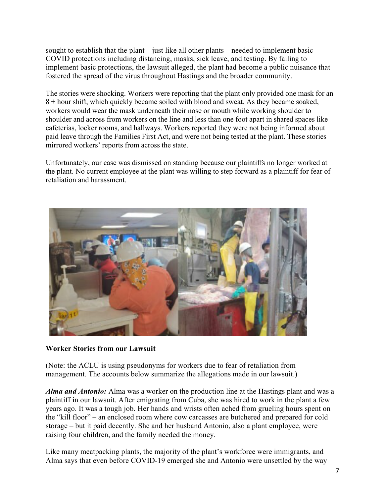sought to establish that the plant – just like all other plants – needed to implement basic COVID protections including distancing, masks, sick leave, and testing. By failing to implement basic protections, the lawsuit alleged, the plant had become a public nuisance that fostered the spread of the virus throughout Hastings and the broader community.

The stories were shocking. Workers were reporting that the plant only provided one mask for an 8 + hour shift, which quickly became soiled with blood and sweat. As they became soaked, workers would wear the mask underneath their nose or mouth while working shoulder to shoulder and across from workers on the line and less than one foot apart in shared spaces like cafeterias, locker rooms, and hallways. Workers reported they were not being informed about paid leave through the Families First Act, and were not being tested at the plant. These stories mirrored workers' reports from across the state.

Unfortunately, our case was dismissed on standing because our plaintiffs no longer worked at the plant. No current employee at the plant was willing to step forward as a plaintiff for fear of retaliation and harassment.



#### **Worker Stories from our Lawsuit**

(Note: the ACLU is using pseudonyms for workers due to fear of retaliation from management. The accounts below summarize the allegations made in our lawsuit.)

*Alma and Antonio:* Alma was a worker on the production line at the Hastings plant and was a plaintiff in our lawsuit. After emigrating from Cuba, she was hired to work in the plant a few years ago. It was a tough job. Her hands and wrists often ached from grueling hours spent on the "kill floor" – an enclosed room where cow carcasses are butchered and prepared for cold storage – but it paid decently. She and her husband Antonio, also a plant employee, were raising four children, and the family needed the money.

Like many meatpacking plants, the majority of the plant's workforce were immigrants, and Alma says that even before COVID-19 emerged she and Antonio were unsettled by the way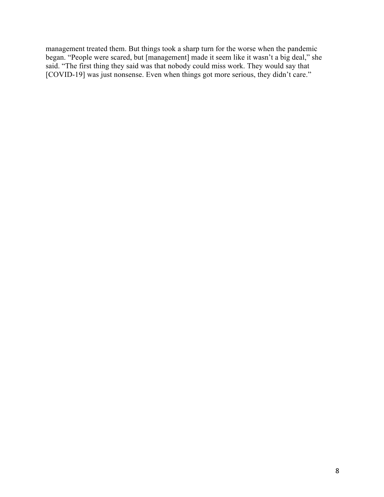management treated them. But things took a sharp turn for the worse when the pandemic began. "People were scared, but [management] made it seem like it wasn't a big deal," she said. "The first thing they said was that nobody could miss work. They would say that [COVID-19] was just nonsense. Even when things got more serious, they didn't care."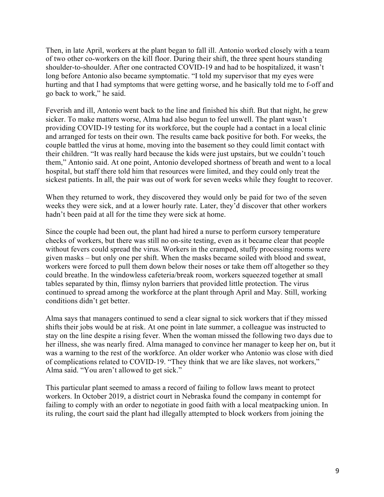Then, in late April, workers at the plant began to fall ill. Antonio worked closely with a team of two other co-workers on the kill floor. During their shift, the three spent hours standing shoulder-to-shoulder. After one contracted COVID-19 and had to be hospitalized, it wasn't long before Antonio also became symptomatic. "I told my supervisor that my eyes were hurting and that I had symptoms that were getting worse, and he basically told me to f-off and go back to work," he said.

Feverish and ill, Antonio went back to the line and finished his shift. But that night, he grew sicker. To make matters worse, Alma had also begun to feel unwell. The plant wasn't providing COVID-19 testing for its workforce, but the couple had a contact in a local clinic and arranged for tests on their own. The results came back positive for both. For weeks, the couple battled the virus at home, moving into the basement so they could limit contact with their children. "It was really hard because the kids were just upstairs, but we couldn't touch them," Antonio said. At one point, Antonio developed shortness of breath and went to a local hospital, but staff there told him that resources were limited, and they could only treat the sickest patients. In all, the pair was out of work for seven weeks while they fought to recover.

When they returned to work, they discovered they would only be paid for two of the seven weeks they were sick, and at a lower hourly rate. Later, they'd discover that other workers hadn't been paid at all for the time they were sick at home.

Since the couple had been out, the plant had hired a nurse to perform cursory temperature checks of workers, but there was still no on-site testing, even as it became clear that people without fevers could spread the virus. Workers in the cramped, stuffy processing rooms were given masks – but only one per shift. When the masks became soiled with blood and sweat, workers were forced to pull them down below their noses or take them off altogether so they could breathe. In the windowless cafeteria/break room, workers squeezed together at small tables separated by thin, flimsy nylon barriers that provided little protection. The virus continued to spread among the workforce at the plant through April and May. Still, working conditions didn't get better.

Alma says that managers continued to send a clear signal to sick workers that if they missed shifts their jobs would be at risk. At one point in late summer, a colleague was instructed to stay on the line despite a rising fever. When the woman missed the following two days due to her illness, she was nearly fired. Alma managed to convince her manager to keep her on, but it was a warning to the rest of the workforce. An older worker who Antonio was close with died of complications related to COVID-19. "They think that we are like slaves, not workers," Alma said. "You aren't allowed to get sick."

This particular plant seemed to amass a record of failing to follow laws meant to protect workers. In October 2019, a district court in Nebraska found the company in contempt for failing to comply with an order to negotiate in good faith with a local meatpacking union. In its ruling, the court said the plant had illegally attempted to block workers from joining the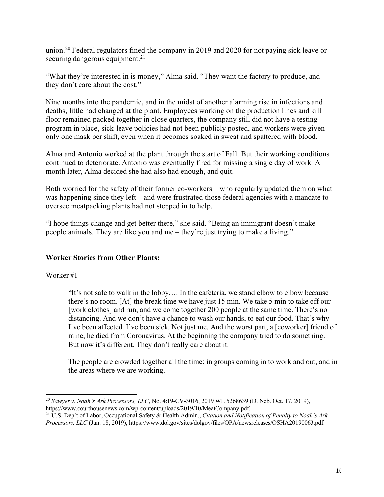union.<sup>20</sup> Federal regulators fined the company in 2019 and 2020 for not paying sick leave or securing dangerous equipment.<sup>21</sup>

"What they're interested in is money," Alma said. "They want the factory to produce, and they don't care about the cost."

Nine months into the pandemic, and in the midst of another alarming rise in infections and deaths, little had changed at the plant. Employees working on the production lines and kill floor remained packed together in close quarters, the company still did not have a testing program in place, sick-leave policies had not been publicly posted, and workers were given only one mask per shift, even when it becomes soaked in sweat and spattered with blood.

Alma and Antonio worked at the plant through the start of Fall. But their working conditions continued to deteriorate. Antonio was eventually fired for missing a single day of work. A month later, Alma decided she had also had enough, and quit.

Both worried for the safety of their former co-workers – who regularly updated them on what was happening since they left – and were frustrated those federal agencies with a mandate to oversee meatpacking plants had not stepped in to help.

"I hope things change and get better there," she said. "Being an immigrant doesn't make people animals. They are like you and me – they're just trying to make a living."

#### **Worker Stories from Other Plants:**

Worker #1

"It's not safe to walk in the lobby…. In the cafeteria, we stand elbow to elbow because there's no room. [At] the break time we have just 15 min. We take 5 min to take off our [work clothes] and run, and we come together 200 people at the same time. There's no distancing. And we don't have a chance to wash our hands, to eat our food. That's why I've been affected. I've been sick. Not just me. And the worst part, a [coworker] friend of mine, he died from Coronavirus. At the beginning the company tried to do something. But now it's different. They don't really care about it.

The people are crowded together all the time: in groups coming in to work and out, and in the areas where we are working.

<sup>20</sup> *Sawyer v. Noah's Ark Processors, LLC*, No. 4:19-CV-3016, 2019 WL 5268639 (D. Neb. Oct. 17, 2019), https://www.courthousenews.com/wp-content/uploads/2019/10/MeatCompany.pdf.

<sup>21</sup> U.S. Dep't of Labor, Occupational Safety & Health Admin., *Citation and Notification of Penalty to Noah's Ark Processors, LLC* (Jan. 18, 2019), https://www.dol.gov/sites/dolgov/files/OPA/newsreleases/OSHA20190063.pdf.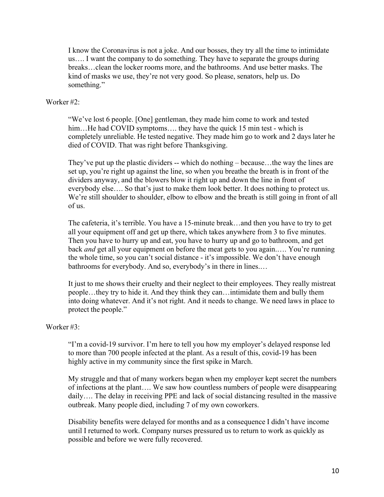I know the Coronavirus is not a joke. And our bosses, they try all the time to intimidate us…. I want the company to do something. They have to separate the groups during breaks…clean the locker rooms more, and the bathrooms. And use better masks. The kind of masks we use, they're not very good. So please, senators, help us. Do something."

#### Worker #2:

"We've lost 6 people. [One] gentleman, they made him come to work and tested him...He had COVID symptoms.... they have the quick 15 min test - which is completely unreliable. He tested negative. They made him go to work and 2 days later he died of COVID. That was right before Thanksgiving.

They've put up the plastic dividers -- which do nothing – because…the way the lines are set up, you're right up against the line, so when you breathe the breath is in front of the dividers anyway, and the blowers blow it right up and down the line in front of everybody else…. So that's just to make them look better. It does nothing to protect us. We're still shoulder to shoulder, elbow to elbow and the breath is still going in front of all of us.

The cafeteria, it's terrible. You have a 15-minute break…and then you have to try to get all your equipment off and get up there, which takes anywhere from 3 to five minutes. Then you have to hurry up and eat, you have to hurry up and go to bathroom, and get back *and* get all your equipment on before the meat gets to you again.…. You're running the whole time, so you can't social distance - it's impossible. We don't have enough bathrooms for everybody. And so, everybody's in there in lines.…

It just to me shows their cruelty and their neglect to their employees. They really mistreat people…they try to hide it. And they think they can…intimidate them and bully them into doing whatever. And it's not right. And it needs to change. We need laws in place to protect the people."

#### Worker  $#3 \cdot$

"I'm a covid-19 survivor. I'm here to tell you how my employer's delayed response led to more than 700 people infected at the plant. As a result of this, covid-19 has been highly active in my community since the first spike in March.

My struggle and that of many workers began when my employer kept secret the numbers of infections at the plant…. We saw how countless numbers of people were disappearing daily…. The delay in receiving PPE and lack of social distancing resulted in the massive outbreak. Many people died, including 7 of my own coworkers.

Disability benefits were delayed for months and as a consequence I didn't have income until I returned to work. Company nurses pressured us to return to work as quickly as possible and before we were fully recovered.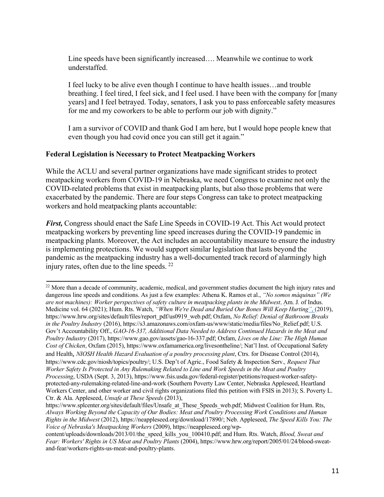Line speeds have been significantly increased…. Meanwhile we continue to work understaffed.

I feel lucky to be alive even though I continue to have health issues…and trouble breathing. I feel tired, I feel sick, and I feel used. I have been with the company for [many years] and I feel betrayed. Today, senators, I ask you to pass enforceable safety measures for me and my coworkers to be able to perform our job with dignity."

I am a survivor of COVID and thank God I am here, but I would hope people knew that even though you had covid once you can still get it again."

#### **Federal Legislation is Necessary to Protect Meatpacking Workers**

While the ACLU and several partner organizations have made significant strides to protect meatpacking workers from COVID-19 in Nebraska, we need Congress to examine not only the COVID-related problems that exist in meatpacking plants, but also those problems that were exacerbated by the pandemic. There are four steps Congress can take to protect meatpacking workers and hold meatpacking plants accountable:

*First,* Congress should enact the Safe Line Speeds in COVID-19 Act. This Act would protect meatpacking workers by preventing line speed increases during the COVID-19 pandemic in meatpacking plants. Moreover, the Act includes an accountability measure to ensure the industry is implementing protections. We would support similar legislation that lasts beyond the pandemic as the meatpacking industry has a well-documented track record of alarmingly high injury rates, often due to the line speeds.  $22$ 

<sup>&</sup>lt;sup>22</sup> More than a decade of community, academic, medical, and government studies document the high injury rates and dangerous line speeds and conditions. As just a few examples: Athena K. Ramos et al., *"No somos máquinas" (We are not machines): Worker perspectives of safety culture in meatpacking plants in the Midwest*, Am. J*.* of Indus. Medicine vol. 64 (2021); Hum. Rts. Watch, *"When We're Dead and Buried Our Bones Will Keep Hurting"*, (2019), https://www.hrw.org/sites/default/files/report\_pdf/us0919\_web.pdf; Oxfam, *No Relief: Denial of Bathroom Breaks in the Poultry Industry* (2016), https://s3.amazonaws.com/oxfam-us/www/static/media/files/No\_Relief.pdf; U.S. Gov't Accountability Off., *GAO-16-337, Additional Data Needed to Address Continued Hazards in the Meat and Poultry Industry* (2017), https://www.gao.gov/assets/gao-16-337.pdf; Oxfam, *Lives on the Line: The High Human Cost of Chicken*, Oxfam (2015), https://www.oxfamamerica.org/livesontheline/; Nat'l Inst. of Occupational Safety and Health, *NIOSH Health Hazard Evaluation of a poultry processing plant*, Ctrs. for Disease Control (2014), https://www.cdc.gov/niosh/topics/poultry/; U.S. Dep't of Agric., Food Safety & Inspection Serv.*, Request That Worker Safety Is Protected in Any Rulemaking Related to Line and Work Speeds in the Meat and Poultry Processing*, USDA (Sept. 3, 2013), https://www.fsis.usda.gov/federal-register/petitions/request-worker-safetyprotected-any-rulemaking-related-line-and-work (Southern Poverty Law Center, Nebraska Appleseed, Heartland Workers Center, and other worker and civil rights organizations filed this petition with FSIS in 2013); S. Poverty L. Ctr. & Ala. Appleseed, *Unsafe at These Speeds* (2013),

https://www.splcenter.org/sites/default/files/Unsafe\_at\_These\_Speeds\_web.pdf; Midwest Coalition for Hum. Rts, *Always Working Beyond the Capacity of Our Bodies: Meat and Poultry Processing Work Conditions and Human Rights in the Midwest* (2012), https://neappleseed.org/download/17890/; Neb. Appleseed, *The Speed Kills You: The Voice of Nebraska's Meatpacking Workers* (2009), https://neappleseed.org/wp-

content/uploads/downloads/2013/01/the\_speed\_kills\_you\_100410.pdf; and Hum. Rts. Watch, *Blood, Sweat and Fear: Workers' Rights in US Meat and Poultry Plants* (2004), https://www.hrw.org/report/2005/01/24/blood-sweatand-fear/workers-rights-us-meat-and-poultry-plants.